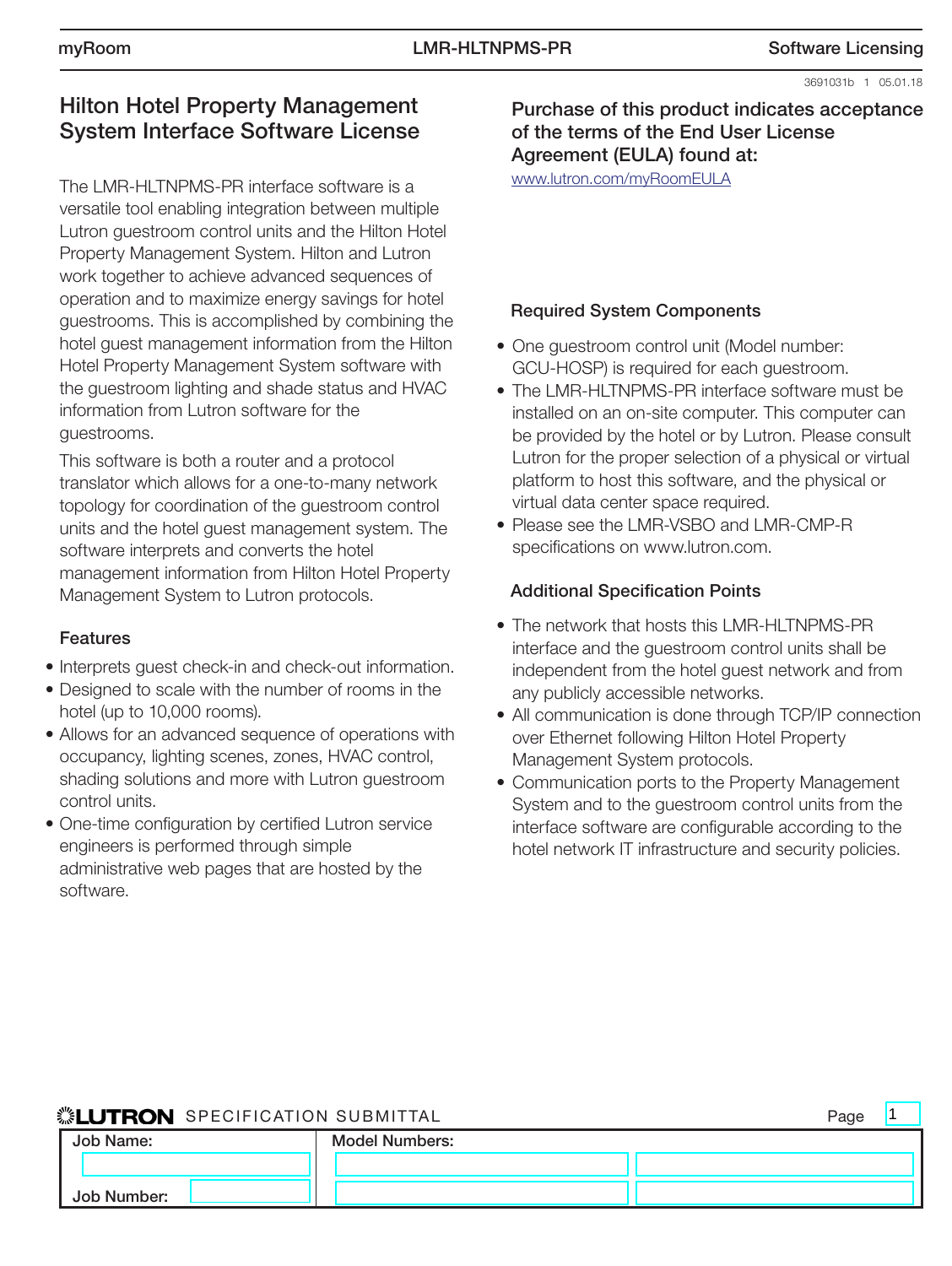3691031b 1 05.01.18

 $\blacksquare$ 1

# Hilton Hotel Property Management System Interface Software License

The LMR-HLTNPMS-PR interface software is a versatile tool enabling integration between multiple Lutron guestroom control units and the Hilton Hotel Property Management System. Hilton and Lutron work together to achieve advanced sequences of operation and to maximize energy savings for hotel guestrooms. This is accomplished by combining the hotel guest management information from the Hilton Hotel Property Management System software with the guestroom lighting and shade status and HVAC information from Lutron software for the guestrooms.

This software is both a router and a protocol translator which allows for a one-to-many network topology for coordination of the guestroom control units and the hotel guest management system. The software interprets and converts the hotel management information from Hilton Hotel Property Management System to Lutron protocols.

## Features

- • Interprets guest check-in and check-out information.
- Designed to scale with the number of rooms in the hotel (up to 10,000 rooms).
- Allows for an advanced sequence of operations with occupancy, lighting scenes, zones, HVAC control, shading solutions and more with Lutron guestroom control units.
- One-time configuration by certified Lutron service engineers is performed through simple administrative web pages that are hosted by the software.

Purchase of this product indicates acceptance of the terms of the End User License Agreement (EULA) found at:

www.lutron.com/myRoomEULA

## Required System Components

- One guestroom control unit (Model number: GCU-HOSP) is required for each guestroom.
- The LMR-HLTNPMS-PR interface software must be installed on an on-site computer. This computer can be provided by the hotel or by Lutron. Please consult Lutron for the proper selection of a physical or virtual platform to host this software, and the physical or virtual data center space required.
- Please see the LMR-VSBO and LMR-CMP-R specifications on www.lutron.com.

## Additional Specification Points

- The network that hosts this LMR-HLTNPMS-PR interface and the guestroom control units shall be independent from the hotel guest network and from any publicly accessible networks.
- All communication is done through TCP/IP connection over Ethernet following Hilton Hotel Property Management System protocols.
- Communication ports to the Property Management System and to the guestroom control units from the interface software are configurable according to the hotel network IT infrastructure and security policies.

## SET IT RON SPECIFICATION SUBMITTAL SERVICES AND PROPERTY PROPERTY.

|             |                       | . ugu |
|-------------|-----------------------|-------|
| Job Name:   | <b>Model Numbers:</b> |       |
|             |                       |       |
| Job Number: |                       |       |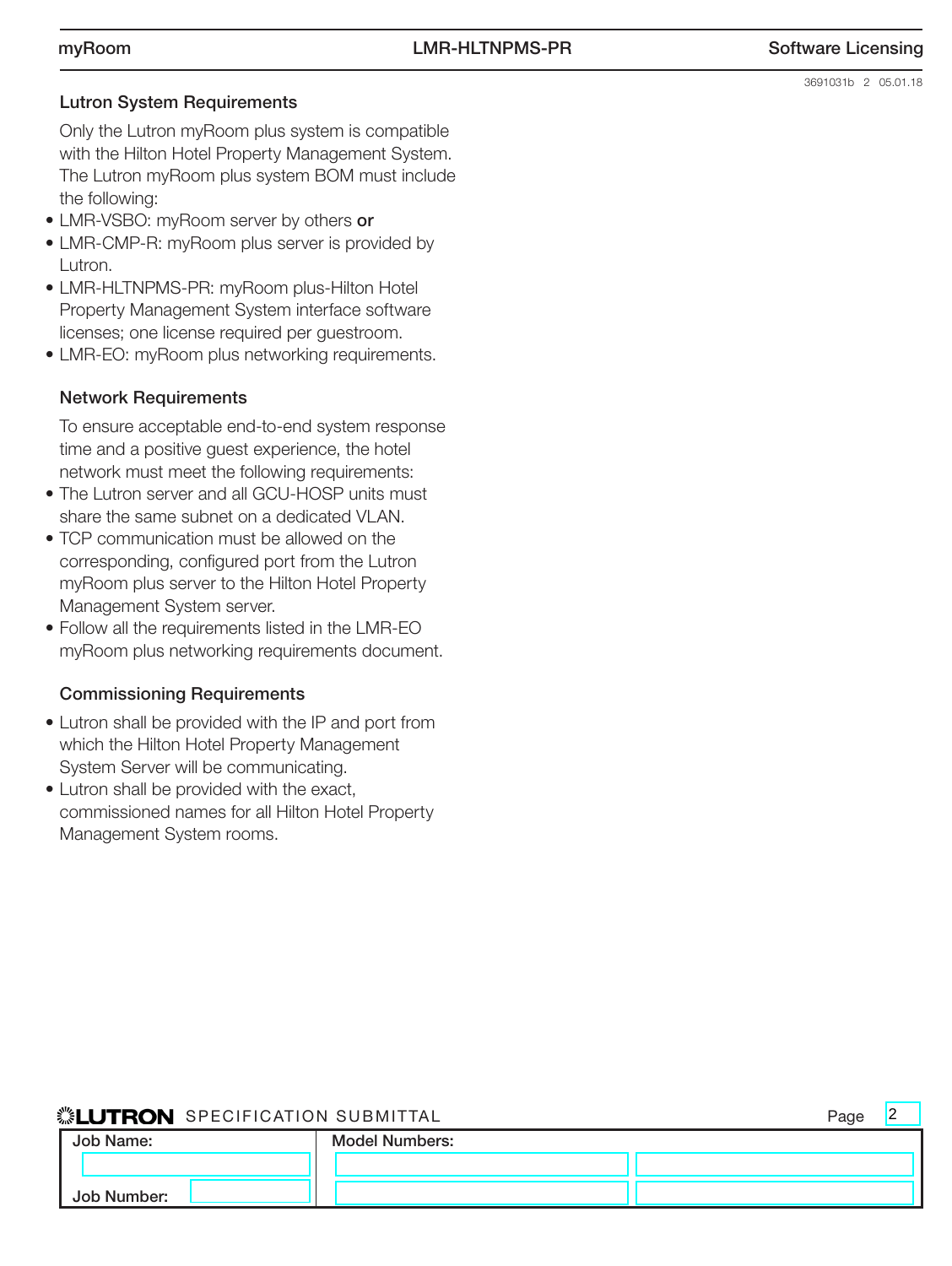#### Lutron System Requirements

 Only the Lutron myRoom plus system is compatible with the Hilton Hotel Property Management System. The Lutron myRoom plus system BOM must include the following:

- LMR-VSBO: myRoom server by others or
- LMR-CMP-R: myRoom plus server is provided by Lutron.
- LMR-HLTNPMS-PR: myRoom plus-Hilton Hotel Property Management System interface software licenses; one license required per guestroom.
- LMR-EO: myRoom plus networking requirements.

### Network Requirements

To ensure acceptable end-to-end system response time and a positive guest experience, the hotel network must meet the following requirements:

- The Lutron server and all GCU-HOSP units must share the same subnet on a dedicated VLAN.
- TCP communication must be allowed on the corresponding, configured port from the Lutron myRoom plus server to the Hilton Hotel Property Management System server.
- Follow all the requirements listed in the LMR-EO myRoom plus networking requirements document.

#### Commissioning Requirements

- Lutron shall be provided with the IP and port from which the Hilton Hotel Property Management System Server will be communicating.
- Lutron shall be provided with the exact, commissioned names for all Hilton Hotel Property Management System rooms.

### SPECIFICATION SUBMITTAL Page

| Job Name:   | <b>Model Numbers:</b> |  |
|-------------|-----------------------|--|
|             |                       |  |
| Job Number: |                       |  |

2